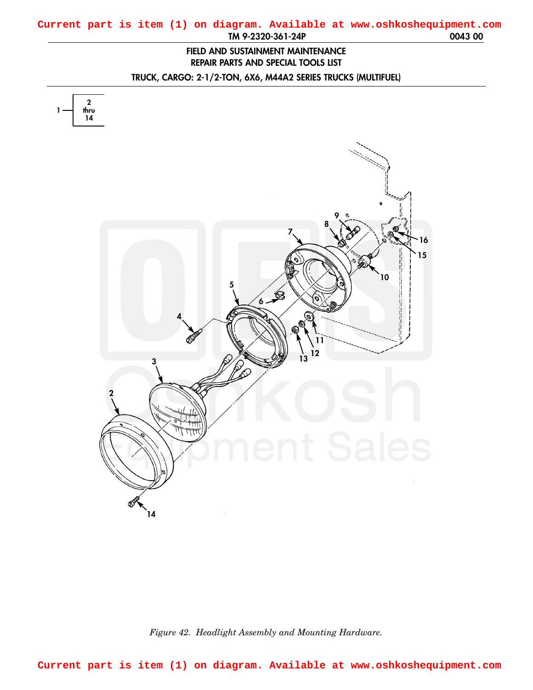## <span id="page-0-0"></span>**TM 9-2320-361-24P 0043 00 Current part is item (1) on diagram. Available at www.oshkoshequipment.com**

## **FIELD AND SUSTAINMENT MAINTENANCE REPAIR PARTS AND SPECIAL TOOLS LIST**

**TRUCK, CARGO: 2-1/2-TON, 6X6, M44A2 SERIES TRUCKS (MULTIFUEL)**



*Figure 42. Headlight Assembly and Mounting Hardware.*

**Current part is item (1) on diagram. Available at www.oshkoshequipment.com**